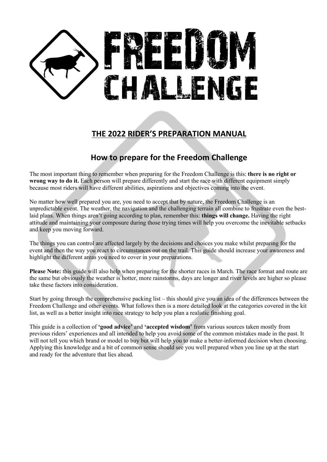# ENGE

# **THE 2022 RIDER'S PREPARATION MANUAL**

# **How to prepare for the Freedom Challenge**

The most important thing to remember when preparing for the Freedom Challenge is this: **there is no right or wrong way to do it.** Each person will prepare differently and start the race with different equipment simply because most riders will have different abilities, aspirations and objectives coming into the event.

No matter how well prepared you are, you need to accept that by nature, the Freedom Challenge is an unpredictable event. The weather, the navigation and the challenging terrain all combine to frustrate even the bestlaid plans. When things aren't going according to plan, remember this: **things will change.** Having the right attitude and maintaining your composure during those trying times will help you overcome the inevitable setbacks and keep you moving forward.

The things you can control are affected largely by the decisions and choices you make whilst preparing for the event and then the way you react to circumstances out on the trail. This guide should increase your awareness and highlight the different areas you need to cover in your preparations.

**Please Note:** this guide will also help when preparing for the shorter races in March. The race format and route are the same but obviously the weather is hotter, more rainstorms, days are longer and river levels are higher so please take these factors into consideration.

Start by going through the comprehensive packing list – this should give you an idea of the differences between the Freedom Challenge and other events. What follows then is a more detailed look at the categories covered in the kit list, as well as a better insight into race strategy to help you plan a realistic finishing goal.

This guide is a collection of **'good advice'** and **'accepted wisdom'** from various sources taken mostly from previous riders' experiences and all intended to help you avoid some of the common mistakes made in the past. It will not tell you which brand or model to buy but will help you to make a better-informed decision when choosing. Applying this knowledge and a bit of common sense should see you well prepared when you line up at the start and ready for the adventure that lies ahead.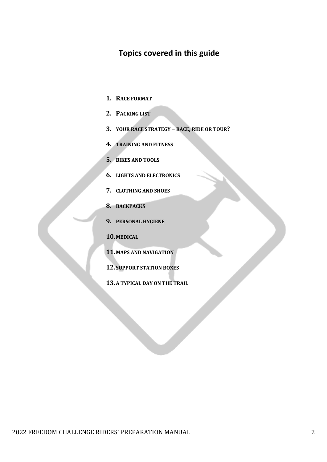# **Topics covered in this guide**

- 1. RACE FORMAT
- 2. **PACKING LIST**
- **3. YOUR RACE STRATEGY – RACE, RIDE OR TOUR?**
- **4. TRAINING AND FITNESS**
- **5. BIKES AND TOOLS**
- **6. LIGHTS AND ELECTRONICS**
- **7. CLOTHING AND SHOES**
- **8. BACKPACKS**
- **9. PERSONAL HYGIENE**
- **10.MEDICAL**
- **11. MAPS AND NAVIGATION**
- **12. SUPPORT STATION BOXES**
- **13.A TYPICAL DAY ON THE TRAIL**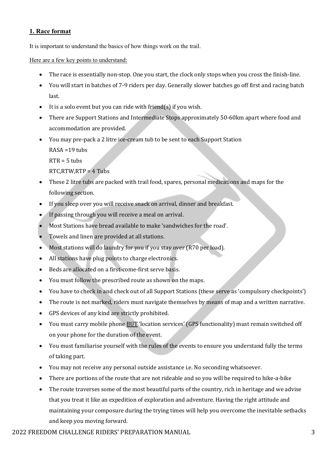# **1. Race format**

It is important to understand the basics of how things work on the trail.

Here are a few key points to understand:

- The race is essentially non-stop. One you start, the clock only stops when you cross the finish-line.
- You will start in batches of 7-9 riders per day. Generally slower batches go off first and racing batch last.
- It is a solo event but you can ride with friend(s) if you wish.
- There are Support Stations and Intermediate Stops approximately 50-60km apart where food and accommodation are provided.
- You may pre-pack a 2 litre ice-cream tub to be sent to each Support Station  $RASA = 19$  tubs

 $RTR = 5$  tubs

 $RTC.RTW.RTP = 4$  Tubs

- These 2 litre tubs are packed with trail food, spares, personal medications and maps for the following section.
- If you sleep over you will receive snack on arrival, dinner and breakfast.
- If passing through you will receive a meal on arrival.
- Most Stations have bread available to make 'sandwiches for the road'.
- Towels and linen are provided at all stations.
- Most stations will do laundry for you if you stay over (R70 per load).
- All stations have plug points to charge electronics.
- Beds are allocated on a first-come-first serve basis.
- You must follow the prescribed route as shown on the maps.
- You have to check in and check out of all Support Stations (these serve as 'compulsory checkpoints')
- The route is not marked, riders must navigate themselves by means of map and a written narrative.
- GPS devices of any kind are strictly prohibited.
- You must carry mobile phone **BUT** 'location services' (GPS functionality) must remain switched off on your phone for the duration of the event.
- You must familiarise vourself with the rules of the events to ensure vou understand fully the terms of taking part.
- You may not receive any personal outside assistance i.e. No seconding whatsoever.
- There are portions of the route that are not rideable and so you will be required to hike-a-bike
- The route traverses some of the most beautiful parts of the country, rich in heritage and we advise that you treat it like an expedition of exploration and adventure. Having the right attitude and maintaining your composure during the trying times will help you overcome the inevitable setbacks and keep you moving forward.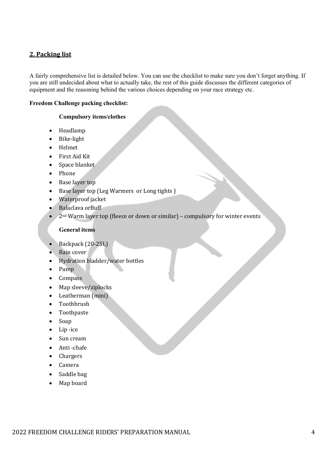# **2. Packing list**

A fairly comprehensive list is detailed below. You can use the checklist to make sure you don't forget anything. If you are still undecided about what to actually take, the rest of this guide discusses the different categories of equipment and the reasoning behind the various choices depending on your race strategy etc.

#### **Freedom Challenge packing checklist:**

#### **Compulsory items/clothes**

- Headlamp
- Bike-light
- Helmet
- First Aid Kit
- Space blanket
- Phone
- Base layer top
- Base layer top (Leg Warmers or Long tights)
- Waterproof jacket
- Balaclava orBuff
- $2<sup>nd</sup> Warm layer top (fleece or down or similar) compulsory for winter events$

#### **General items**

- Backpack (20-25L)
- Rain cover
- Hydration bladder/water bottles
- Pump
- Compass
- Map sleeve/ziplocks
- Leatherman (mini)
- Toothbrush
- Toothpaste
- Soap
- $\bullet$  Lip -ice
- Sun cream
- Anti-chafe
- Chargers
- Camera
- $\bullet$  Saddle bag
- Map board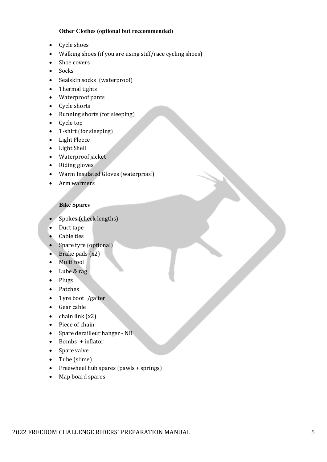#### **Other Clothes (optional but reccommended)**

- Cycle shoes
- Walking shoes (if you are using stiff/race cycling shoes)
- Shoe covers
- Socks
- Sealskin socks (waterproof)
- Thermal tights
- Waterproof pants
- Cycle shorts
- Running shorts (for sleeping)
- Cycle top
- $\bullet$  T-shirt (for sleeping)
- Light Fleece
- Light Shell
- Waterproof jacket
- $\bullet$  Riding gloves
- Warm Insulated Gloves (waterproof)
- Arm warmers

#### **Bike Spares**

- Spokes (check lengths)
- Duct tape
- Cable ties
- Spare tyre (optional)
- Brake pads  $(x2)$
- $\bullet$  Multi tool
- Lube & rag
- Plugs
- Patches
- Tyre boot /gaiter
- Gear cable
- chain link  $(x2)$
- Piece of chain
- Spare derailleur hanger NB
- $\bullet$  Bombs + inflator
- Spare valve
- Tube (slime)
- Freewheel hub spares (pawls + springs)
- Map board spares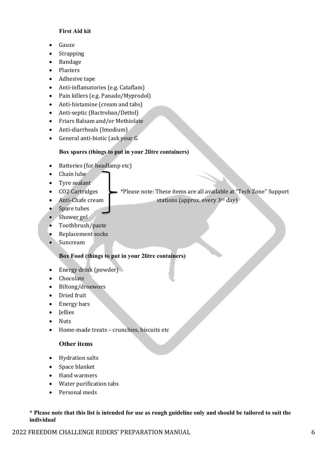#### **First Aid kit**

- Gauze
- Strapping
- Bandage
- Plasters
- Adhesive tape
- Anti-inflamatories (e.g. Cataflam)
- Pain killers (e.g. Panado/Myprodol)
- Anti-histamine (cream and tabs)
- Anti-septic (Bactroban/Dettol)
- Friars Balsam and/or Methiolate
- Anti-diarrheals (Imodium)
- General anti-biotic (ask your G

#### **Box spares (things to put in your 2litre containers)**

- Batteries (for headlamp etc)
- Chain lube
- Tyre sealant
- CO2 Cartridges  $\longrightarrow$  \*Please note: These items are all available at "Tech Zone" Support
- Anti-Chafe cream  $\bullet$  stations (approx. every 3<sup>rd</sup> day)
- Spare tubes
- Shower gel
- Toothbrush/paste
- Replacement socks
- Suncream

#### **Box Food (things to put in your 2litre containers)**

- Energy drink (powder)
- Chocolate
- Biltong/droewors
- Dried fruit
- Energy bars
- Jellies
- Nuts
- Home-made treats crunchies, biscuits etc

#### **Other items**

- Hydration salts
- Space blanket
- Hand warmers
- Water purification tabs
- Personal meds

#### **\* Please note that this list is intended for use as rough guideline only and should be tailored to suit the individual**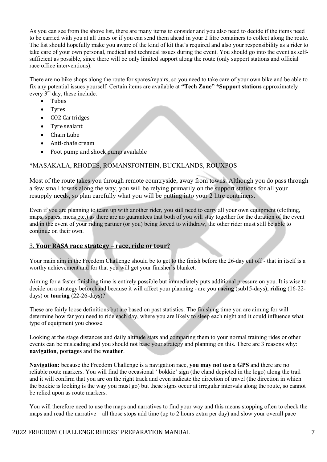As you can see from the above list, there are many items to consider and you also need to decide if the items need to be carried with you at all times or if you can send them ahead in your 2 litre containers to collect along the route. The list should hopefully make you aware of the kind of kit that's required and also your responsibility as a rider to take care of your own personal, medical and technical issues during the event. You should go into the event as selfsufficient as possible, since there will be only limited support along the route (only support stations and official race office interventions).

There are no bike shops along the route for spares/repairs, so you need to take care of your own bike and be able to fix any potential issues yourself. Certain items are available at **"Tech Zone" \*Support stations** approximately every  $3^{\text{rd}}$  day, these include:

- Tubes
- Tyres
- CO2 Cartridges
- Tyre sealant
- Chain Lube
- Anti-chafe cream
- Foot pump and shock pump available

#### \*MASAKALA, RHODES, ROMANSFONTEIN, BUCKLANDS, ROUXPOS

Most of the route takes you through remote countryside, away from towns. Although you do pass through a few small towns along the way, you will be relying primarily on the support stations for all your resupply needs, so plan carefully what you will be putting into your 2 litre containers.

Even if you are planning to team up with another rider, you still need to carry all your own equipment (clothing, maps, spares, meds etc.) as there are no guarantees that both of you will stay together for the duration of the event and in the event of your riding partner (or you) being forced to withdraw, the other rider must still be able to continue on their own.

#### 3. **Your RASA race strategy – race, ride or tour?**

Your main aim in the Freedom Challenge should be to get to the finish before the 26-day cut off - that in itself is a worthy achievement and for that you will get your finisher's blanket.

Aiming for a faster finishing time is entirely possible but immediately puts additional pressure on you. It is wise to decide on a strategy beforehand because it will affect your planning - are you **racing** (sub15-days); **riding** (16-22 days) or **touring** (22-26-days)?

These are fairly loose definitions but are based on past statistics. The finishing time you are aiming for will determine how far you need to ride each day, where you are likely to sleep each night and it could influence what type of equipment you choose.

Looking at the stage distances and daily altitude stats and comparing them to your normal training rides or other events can be misleading and you should not base your strategy and planning on this. There are 3 reasons why: **navigation**, **portages** and the **weather**.

**Navigation:** because the Freedom Challenge is a navigation race, **you may not use a GPS** and there are no reliable route markers. You will find the occasional ' bokkie' sign (the eland depicted in the logo) along the trail and it will confirm that you are on the right track and even indicate the direction of travel (the direction in which the bokkie is looking is the way you must go) but these signs occur at irregular intervals along the route, so cannot be relied upon as route markers.

You will therefore need to use the maps and narratives to find your way and this means stopping often to check the maps and read the narrative – all those stops add time (up to 2 hours extra per day) and slow your overall pace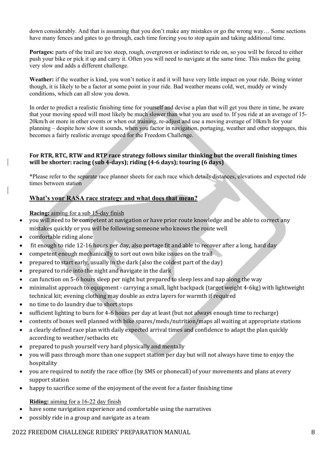down considerably. And that is assuming that you don't make any mistakes or go the wrong way… Some sections have many fences and gates to go through, each time forcing you to stop again and taking additional time.

**Portages:** parts of the trail are too steep, rough, overgrown or indistinct to ride on, so you will be forced to either push your bike or pick it up and carry it. Often you will need to navigate at the same time. This makes the going very slow and adds a different challenge.

**Weather:** if the weather is kind, you won't notice it and it will have very little impact on your ride. Being winter though, it is likely to be a factor at some point in your ride. Bad weather means cold, wet, muddy or windy conditions, which can all slow you down.

In order to predict a realistic finishing time for yourself and devise a plan that will get you there in time, be aware that your moving speed will most likely be much slower than what you are used to. If you ride at an average of 15- 20km/h or more in other events or when out training, re-adjust and use a moving average of 10km/h for your planning – despite how slow it sounds, when you factor in navigation, portaging, weather and other stoppages, this becomes a fairly realistic average speed for the Freedom Challenge.

#### For RTR, RTC, RTW and RTP race strategy follows similar thinking but the overall finishing times **will be shorter: racing (sub 4-days); riding (4-6 days); touring (6 days)**

\*Please refer to the separate race planner sheets for each race which details distances, elevations and expected ride times between station

## **What's your RASA race strategy and what does that mean?**

**Racing:** aiming for a sub 15-day finish

- you will need to be competent at navigation or have prior route knowledge and be able to correct any mistakes quickly or you will be following someone who knows the route well
- comfortable riding alone
- fit enough to ride 12-16 hours per day, also portage fit and able to recover after a long, hard day
- competent enough mechanically to sort out own bike issues on the trail
- prepared to start early, usually in the dark (also the coldest part of the day)
- prepared to ride into the night and navigate in the dark
- can function on 5-6 hours sleep per night but prepared to sleep less and nap along the way
- minimalist approach to equipment carrying a small, light backpack (target weight 4-6kg) with lightweight technical kit; evening clothing may double as extra layers for warmth if required
- no time to do laundry due to short stops
- sufficient lighting to burn for 4-6 hours per day at least (but not always enough time to recharge)
- contents of boxes well planned with bike spares/meds/nutrition/maps all waiting at appropriate stations
- a clearly defined race plan with daily expected arrival times and confidence to adapt the plan quickly according to weather/setbacks etc
- prepared to push yourself very hard physically and mentally
- you will pass through more than one support station per day but will not always have time to enjoy the hospitality
- you are required to notify the race office (by SMS or phonecall) of your movements and plans at every support station
- happy to sacrifice some of the enjoyment of the event for a faster finishing time

#### **Riding:** aiming for a 16-22 day finish

- have some navigation experience and comfortable using the narratives
- possibly ride in a group and navigate as a team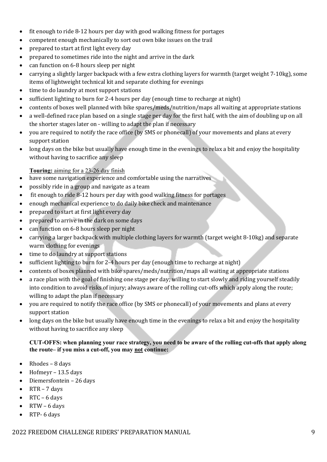- fit enough to ride  $8-12$  hours per day with good walking fitness for portages
- competent enough mechanically to sort out own bike issues on the trail
- prepared to start at first light every day
- prepared to sometimes ride into the night and arrive in the dark
- can function on 6-8 hours sleep per night
- carrying a slightly larger backpack with a few extra clothing layers for warmth (target weight 7-10kg), some items of lightweight technical kit and separate clothing for evenings
- $\bullet$  time to do laundry at most support stations
- sufficient lighting to burn for 2-4 hours per day (enough time to recharge at night)
- contents of boxes well planned with bike spares/meds/nutrition/maps all waiting at appropriate stations
- a well-defined race plan based on a single stage per day for the first half, with the aim of doubling up on all the shorter stages later on - willing to adapt the plan if necessary
- you are required to notify the race office (by SMS or phonecall) of your movements and plans at every support station
- long days on the bike but usually have enough time in the evenings to relax a bit and enjoy the hospitality without having to sacrifice any sleep

#### **Touring:** aiming for a 23-26 day finish

- have some navigation experience and comfortable using the narratives
- possibly ride in a group and navigate as a team
- fit enough to ride 8-12 hours per day with good walking fitness for portages
- enough mechanical experience to do daily bike check and maintenance
- prepared to start at first light every day
- prepared to arrive in the dark on some days
- can function on 6-8 hours sleep per night
- carrying a larger backpack with multiple clothing layers for warmth (target weight 8-10kg) and separate warm clothing for evenings
- time to do laundry at support stations
- sufficient lighting to burn for 2-4 hours per day (enough time to recharge at night)
- contents of boxes planned with bike spares/meds/nutrition/maps all waiting at appropriate stations
- a race plan with the goal of finishing one stage per day; willing to start slowly and riding yourself steadily into condition to avoid risks of injury; always aware of the rolling cut-offs which apply along the route; willing to adapt the plan if necessary
- you are required to notify the race office (by SMS or phonecall) of your movements and plans at every support station
- long days on the bike but usually have enough time in the evenings to relax a bit and enjoy the hospitality without having to sacrifice any sleep

#### **CUT-OFFS: when planning your race strategy, you need to be aware of the rolling cut-offs that apply along the route– if you miss a cut-off, you may not continue:**

- Rhodes  $-$  8 days
- Hofmeyr  $-$  13.5 days
- Diemersfontein 26 days
- $RTR 7$  days
- RTC 6 days
- $RTW 6$  days
- $\bullet$  RTP- 6 days

#### 2022 FREEDOM CHALLENGE RIDERS' PREPARATION MANUAL 2022 FREEDOM CHALLENGE RIDERS' PREPARATION MANUAL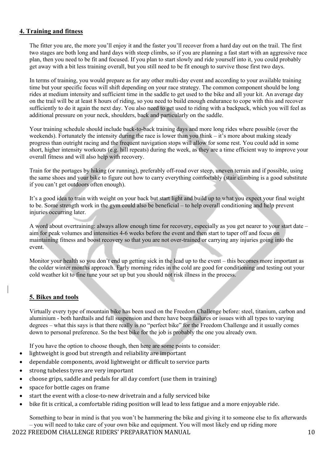#### **4. Training and fitness**

The fitter you are, the more you'll enjoy it and the faster you'll recover from a hard day out on the trail. The first two stages are both long and hard days with steep climbs, so if you are planning a fast start with an aggressive race plan, then you need to be fit and focused. If you plan to start slowly and ride yourself into it, you could probably get away with a bit less training overall, but you still need to be fit enough to survive those first two days.

In terms of training, you would prepare as for any other multi-day event and according to your available training time but your specific focus will shift depending on your race strategy. The common component should be long rides at medium intensity and sufficient time in the saddle to get used to the bike and all your kit. An average day on the trail will be at least 8 hours of riding, so you need to build enough endurance to cope with this and recover sufficiently to do it again the next day. You also need to get used to riding with a backpack, which you will feel as additional pressure on your neck, shoulders, back and particularly on the saddle.

Your training schedule should include back-to-back training days and more long rides where possible (over the weekends). Fortunately the intensity during the race is lower than you think – it's more about making steady progress than outright racing and the frequent navigation stops will allow for some rest. You could add in some short, higher intensity workouts (e.g. hill repeats) during the week, as they are a time efficient way to improve your overall fitness and will also help with recovery.

Train for the portages by hiking (or running), preferably off-road over steep, uneven terrain and if possible, using the same shoes and your bike to figure out how to carry everything comfortably (stair climbing is a good substitute if you can't get outdoors often enough).

It's a good idea to train with weight on your back but start light and build up to what you expect your final weight to be. Some strength work in the gym could also be beneficial – to help overall conditioning and help prevent injuries occurring later.

A word about overtraining: always allow enough time for recovery, especially as you get nearer to your start date – aim for peak volumes and intensities 4-6 weeks before the event and then start to taper off and focus on maintaining fitness and boost recovery so that you are not over-trained or carrying any injuries going into the event.

Monitor your health so you don't end up getting sick in the lead up to the event – this becomes more important as the colder winter months approach. Early morning rides in the cold are good for conditioning and testing out your cold weather kit to fine tune your set up but you should not risk illness in the process.

## **5. Bikes and tools**

Virtually every type of mountain bike has been used on the Freedom Challenge before: steel, titanium, carbon and aluminium - both hardtails and full suspension and there have been failures or issues with all types to varying degrees – what this says is that there really is no "perfect bike" for the Freedom Challenge and it usually comes down to personal preference. So the best bike for the job is probably the one you already own.

If you have the option to choose though, then here are some points to consider:

- lightweight is good but strength and reliability are important
- dependable components, avoid lightweight or difficult to service parts
- strong tubeless tyres are very important
- choose grips, saddle and pedals for all day comfort (use them in training)
- space for bottle cages on frame
- start the event with a close-to-new drivetrain and a fully serviced bike
- bike fit is critical, a comfortable riding position will lead to less fatigue and a more enjoyable ride.

Something to bear in mind is that you won't be hammering the bike and giving it to someone else to fix afterwards – you will need to take care of your own bike and equipment. You will most likely end up riding more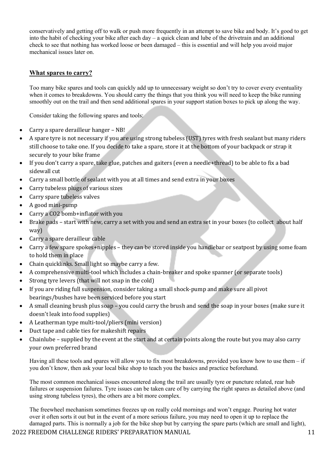conservatively and getting off to walk or push more frequently in an attempt to save bike and body. It's good to get into the habit of checking your bike after each day – a quick clean and lube of the drivetrain and an additional check to see that nothing has worked loose or been damaged – this is essential and will help you avoid major mechanical issues later on.

#### **What spares to carry?**

Too many bike spares and tools can quickly add up to unnecessary weight so don't try to cover every eventuality when it comes to breakdowns. You should carry the things that you think you will need to keep the bike running smoothly out on the trail and then send additional spares in your support station boxes to pick up along the way.

Consider taking the following spares and tools:

- Carry a spare derailleur hanger NB!
- A spare tyre is not necessary if you are using strong tubeless (UST) tyres with fresh sealant but many riders still choose to take one. If you decide to take a spare, store it at the bottom of your backpack or strap it securely to your bike frame
- If vou don't carry a spare, take glue, patches and gaiters (even a needle+thread) to be able to fix a bad sidewall cut
- Carry a small bottle of sealant with you at all times and send extra in your boxes
- Carry tubeless plugs of various sizes
- Carry spare tubeless valves
- A good mini-pump
- Carry a CO2 bomb+inflator with you
- Brake pads start with new, carry a set with you and send an extra set in your boxes (to collect about half way)
- Carry a spare derailleur cable
- Carry a few spare spokes+nipples they can be stored inside you handlebar or seatpost by using some foam to hold them in place
- Chain quicklinks. Small light so maybe carry a few.
- A comprehensive multi-tool which includes a chain-breaker and spoke spanner (or separate tools)
- Strong tyre levers (that will not snap in the cold)
- If you are riding full suspension, consider taking a small shock-pump and make sure all pivot bearings/bushes have been serviced before you start
- A small cleaning brush plus soap you could carry the brush and send the soap in your boxes (make sure it doesn't leak into food supplies)
- A Leatherman type multi-tool/pliers (mini version)
- Duct tape and cable ties for makeshift repairs
- Chainlube supplied by the event at the start and at certain points along the route but you may also carry your own preferred brand

Having all these tools and spares will allow you to fix most breakdowns, provided you know how to use them – if you don't know, then ask your local bike shop to teach you the basics and practice beforehand.

The most common mechanical issues encountered along the trail are usually tyre or puncture related, rear hub failures or suspension failures. Tyre issues can be taken care of by carrying the right spares as detailed above (and using strong tubeless tyres), the others are a bit more complex.

The freewheel mechanism sometimes freezes up on really cold mornings and won't engage. Pouring hot water over it often sorts it out but in the event of a more serious failure, you may need to open it up to replace the damaged parts. This is normally a job for the bike shop but by carrying the spare parts (which are small and light),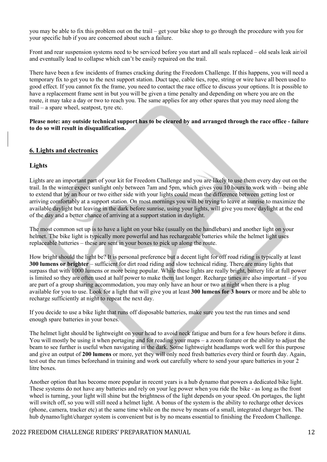you may be able to fix this problem out on the trail – get your bike shop to go through the procedure with you for your specific hub if you are concerned about such a failure.

Front and rear suspension systems need to be serviced before you start and all seals replaced – old seals leak air/oil and eventually lead to collapse which can't be easily repaired on the trail.

There have been a few incidents of frames cracking during the Freedom Challenge. If this happens, you will need a temporary fix to get you to the next support station. Duct tape, cable ties, rope, string or wire have all been used to good effect. If you cannot fix the frame, you need to contact the race office to discuss your options. It is possible to have a replacement frame sent in but you will be given a time penalty and depending on where you are on the route, it may take a day or two to reach you. The same applies for any other spares that you may need along the trail – a spare wheel, seatpost, tyre etc.

**Please note: any outside technical support has to be cleared by and arranged through the race office - failure to do so will result in disqualification.**

#### **6. Lights and electronics**

#### **Lights**

Lights are an important part of your kit for Freedom Challenge and you are likely to use them every day out on the trail. In the winter expect sunlight only between 7am and 5pm, which gives you 10 hours to work with – being able to extend that by an hour or two either side with your lights could mean the difference between getting lost or arriving comfortably at a support station. On most mornings you will be trying to leave at sunrise to maximize the available daylight but leaving in the dark before sunrise, using your lights, will give you more daylight at the end of the day and a better chance of arriving at a support station in daylight.

The most common set up is to have a light on your bike (usually on the handlebars) and another light on your helmet. The bike light is typically more powerful and has rechargeable batteries while the helmet light uses replaceable batteries – these are sent in your boxes to pick up along the route.

How bright should the light be? It is personal preference but a decent light for off road riding is typically at least **300 lumens or brighter** – sufficient for dirt road riding and slow technical riding. There are many lights that surpass that with 1000 lumens or more being popular. While these lights are really bright, battery life at full power is limited so they are often used at half power to make them last longer. Recharge times are also important – if you are part of a group sharing accommodation, you may only have an hour or two at night when there is a plug available for you to use. Look for a light that will give you at least **300 lumens for 3 hours** or more and be able to recharge sufficiently at night to repeat the next day.

If you decide to use a bike light that runs off disposable batteries, make sure you test the run times and send enough spare batteries in your boxes.

The helmet light should be lightweight on your head to avoid neck fatigue and burn for a few hours before it dims. You will mostly be using it when portaging and for reading your maps – a zoom feature or the ability to adjust the beam to see further is useful when navigating in the dark. Some lightweight headlamps work well for this purpose and give an output of **200 lumens** or more, yet they will only need fresh batteries every third or fourth day. Again, test out the run times beforehand in training and work out carefully where to send your spare batteries in your 2 litre boxes.

Another option that has become more popular in recent years is a hub dynamo that powers a dedicated bike light. These systems do not have any batteries and rely on your leg power when you ride the bike - as long as the front wheel is turning, your light will shine but the brightness of the light depends on your speed. On portages, the light will switch off, so you will still need a helmet light. A bonus of the system is the ability to recharge other devices (phone, camera, tracker etc) at the same time while on the move by means of a small, integrated charger box. The hub dynamo/light/charger system is convenient but is by no means essential to finishing the Freedom Challenge.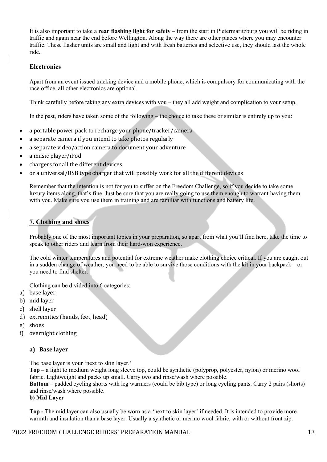It is also important to take a **rear flashing light for safety** – from the start in Pietermaritzburg you will be riding in traffic and again near the end before Wellington. Along the way there are other places where you may encounter traffic. These flasher units are small and light and with fresh batteries and selective use, they should last the whole ride.

#### **Electronics**

Apart from an event issued tracking device and a mobile phone, which is compulsory for communicating with the race office, all other electronics are optional.

Think carefully before taking any extra devices with you – they all add weight and complication to your setup.

In the past, riders have taken some of the following – the choice to take these or similar is entirely up to you:

- a portable power pack to recharge your phone/tracker/camera
- a separate camera if you intend to take photos regularly
- a separate video/action camera to document vour adventure
- a music player/iPod
- chargers for all the different devices
- or a universal/USB type charger that will possibly work for all the different devices

Remember that the intention is not for you to suffer on the Freedom Challenge, so if you decide to take some luxury items along, that's fine. Just be sure that you are really going to use them enough to warrant having them with you. Make sure you use them in training and are familiar with functions and battery life.

# **7. Clothing and shoes**

Probably one of the most important topics in your preparation, so apart from what you'll find here, take the time to speak to other riders and learn from their hard-won experience.

The cold winter temperatures and potential for extreme weather make clothing choice critical. If you are caught out in a sudden change of weather, you need to be able to survive those conditions with the kit in your backpack – or you need to find shelter.

Clothing can be divided into 6 categories:

- a) base layer
- b) mid layer
- c) shell layer
- d) extremities (hands, feet, head)
- e) shoes
- f) overnight clothing

#### **a) Base layer**

The base layer is your 'next to skin layer.'

**Top** – a light to medium weight long sleeve top, could be synthetic (polyprop, polyester, nylon) or merino wool fabric. Lightweight and packs up small. Carry two and rinse/wash where possible.

**Bottom** – padded cycling shorts with leg warmers (could be bib type) or long cycling pants. Carry 2 pairs (shorts) and rinse/wash where possible.

#### **b) Mid Layer**

**Top -** The mid layer can also usually be worn as a 'next to skin layer' if needed. It is intended to provide more warmth and insulation than a base layer. Usually a synthetic or merino wool fabric, with or without front zip.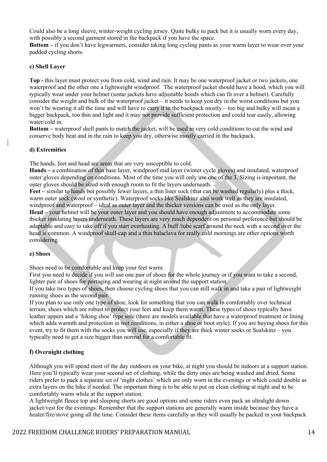Could also be a long sleeve, winter-weight cycling jersey. Quite bulky to pack but it is usually worn every day, with possibly a second garment stored in the backpack if you have the space.

**Bottom –** if you don't have legwarmers, consider taking long cycling pants as your warm layer to wear over your padded cycling shorts.

#### **c) Shell Layer**

**Top -** this layer must protect you from cold, wind and rain. It may be one waterproof jacket or two jackets, one waterproof and the other one a lightweight windproof. The waterproof jacket should have a hood, which you will typically wear under your helmet (some jackets have adjustable hoods which can fit over a helmet). Carefully consider the weight and bulk of the waterproof jacket – it needs to keep you dry in the worst conditions but you won't be wearing it all the time and will have to carry it in the backpack mostly – too big and bulky will mean a bigger backpack, too thin and light and it may not provide sufficient protection and could tear easily, allowing water/cold in.

**Bottom –** waterproof shell pants to match the jacket, will be used in very cold conditions to cut the wind and conserve body heat and in the rain to keep you dry, otherwise mostly carried in the backpack.

#### **d) Extremities**

The hands, feet and head are areas that are very susceptible to cold.

**Hands –** a combination of thin base layer, windproof mid layer (winter cycle gloves) and insulated, waterproof outer gloves depending on conditions. Most of the time you will only use one of the 3. Sizing is important, the outer gloves should be sized with enough room to fit the layers underneath.

**Feet –** similar to hands but possibly fewer layers, a thin liner sock (that can be washed regularly) plus a thick, warm outer sock (wool or synthetic). Waterproof socks like Sealskinz also work well as they are insulated, windproof and waterproof – ideal as outer layer and the thicker versions can be used as the only layer. **Head –** your helmet will be your outer layer and you should have enough adjustment to accommodate some thicker insulating layers underneath. These layers are very much dependent on personal preference but should be adaptable and easy to take off if you start overheating. A buff /tube scarf around the neck with a second over the head is common. A windproof skull-cap and a thin balaclava for really cold mornings are other options worth considering.

#### **e) Shoes**

Shoes need to be comfortable and keep your feet warm.

First you need to decide if you will use one pair of shoes for the whole journey or if you want to take a second, lighter pair of shoes for portaging and wearing at night around the support station.

If you take two types of shoes, then choose cycling shoes that you can still walk in and take a pair of lightweight running shoes as the second pair.

If you plan to use only one type of shoe, look for something that you can walk in comfortably over technical terrain, shoes which are robust to protect your feet and keep them warm. These types of shoes typically have leather uppers and a 'hiking shoe' type sole (there are models available that have a waterproof treatment or lining which adds warmth and protection in wet conditions, in either a shoe or boot style). If you are buying shoes for this event, try to fit them with the socks you will use, especially if they are thick winter socks or Sealskinz – you typically need to get a size bigger than normal for a comfortable fit.

#### **f) Overnight clothing**

Although you will spend most of the day outdoors on your bike, at night you should be indoors at a support station. Here you'll typically wear your second set of clothing, while the dirty ones are being washed and dried. Some riders prefer to pack a separate set of 'night clothes' which are only worn in the evenings or which could double as extra layers on the bike if needed. The important thing is to be able to put on clean clothing at night and to be comfortably warm while at the support station.

A lightweight fleece top and sleeping shorts are good options and some riders even pack an ultralight down jacket/vest for the evenings. Remember that the support stations are generally warm inside because they have a heater/fire/stove going all the time. Consider these items carefully as they will usually be packed in your backpack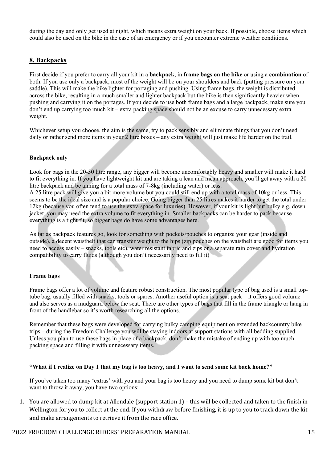during the day and only get used at night, which means extra weight on your back. If possible, choose items which could also be used on the bike in the case of an emergency or if you encounter extreme weather conditions.

#### **8. Backpacks**

First decide if you prefer to carry all your kit in a **backpack**, in **frame bags on the bike** or using a **combination** of both. If you use only a backpack, most of the weight will be on your shoulders and back (putting pressure on your saddle). This will make the bike lighter for portaging and pushing. Using frame bags, the weight is distributed across the bike, resulting in a much smaller and lighter backpack but the bike is then significantly heavier when pushing and carrying it on the portages. If you decide to use both frame bags and a large backpack, make sure you don't end up carrying too much kit – extra packing space should not be an excuse to carry unnecessary extra weight.

Whichever setup you choose, the aim is the same, try to pack sensibly and eliminate things that you don't need daily or rather send more items in your 2 litre boxes – any extra weight will just make life harder on the trail.

#### **Backpack only**

Look for bags in the 20-30 litre range, any bigger will become uncomfortably heavy and smaller will make it hard to fit everything in. If you have lightweight kit and are taking a lean and mean approach, you'll get away with a 20 litre backpack and be aiming for a total mass of 7-8kg (including water) or less.

A 25 litre pack will give you a bit more volume but you could still end up with a total mass of 10kg or less. This seems to be the ideal size and is a popular choice. Going bigger than 25 litres makes it harder to get the total under 12kg (because you often tend to use the extra space for luxuries). However, if your kit is light but bulky e.g. down jacket, you may need the extra volume to fit everything in. Smaller backpacks can be harder to pack because everything is a tight fit, so bigger bags do have some advantages here.

As far as backpack features go, look for something with pockets/pouches to organize your gear (inside and outside), a decent waistbelt that can transfer weight to the hips (zip pouches on the waistbelt are good for items you need to access easily – snacks, tools etc), water resistant fabric and zips or a separate rain cover and hydration compatibility to carry fluids (although you don't necessarily need to fill it)

#### **Frame bags**

Frame bags offer a lot of volume and feature robust construction. The most popular type of bag used is a small toptube bag, usually filled with snacks, tools or spares. Another useful option is a seat pack – it offers good volume and also serves as a mudguard below the seat. There are other types of bags that fill in the frame triangle or hang in front of the handlebar so it's worth researching all the options.

Remember that these bags were developed for carrying bulky camping equipment on extended backcountry bike trips – during the Freedom Challenge you will be staying indoors at support stations with all bedding supplied. Unless you plan to use these bags in place of a backpack, don't make the mistake of ending up with too much packing space and filling it with unnecessary items.

#### **"What if I realize on Day 1 that my bag is too heavy, and I want to send some kit back home?"**

If you've taken too many 'extras' with you and your bag is too heavy and you need to dump some kit but don't want to throw it away, you have two options:

1. You are allowed to dump kit at Allendale (support station  $1$ ) – this will be collected and taken to the finish in Wellington for you to collect at the end. If you withdraw before finishing, it is up to you to track down the kit and make arrangements to retrieve it from the race office.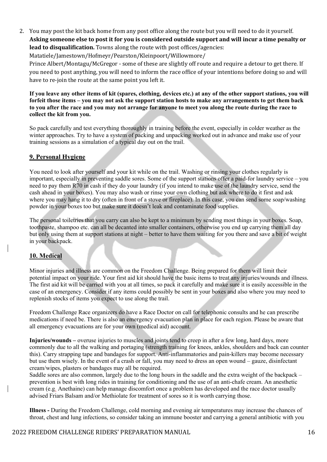2. You may post the kit back home from any post office along the route but you will need to do it yourself. Asking someone else to post it for you is considered outside support and will incur a time penalty or **lead to disqualification.** Towns along the route with post offices/agencies:

Matatiele/Jamestown/Hofmeyr/Pearston/Kleinpoort/Willowmore/

Prince Albert/Montagu/McGregor - some of these are slightly off route and require a detour to get there. If you need to post anything, you will need to inform the race office of your intentions before doing so and will have to re-join the route at the same point you left it.

**If you leave any other items of kit (spares, clothing, devices etc.) at any of the other support stations, you will forfeit those items – you may not ask the support station hosts to make any arrangements to get them back to you after the race and you may not arrange for anyone to meet you along the route during the race to collect the kit from you.** 

So pack carefully and test everything thoroughly in training before the event, especially in colder weather as the winter approaches. Try to have a system of packing and unpacking worked out in advance and make use of your training sessions as a simulation of a typical day out on the trail.

# **9. Personal Hygiene**

You need to look after yourself and your kit while on the trail. Washing or rinsing your clothes regularly is important, especially in preventing saddle sores. Some of the support stations offer a paid-for laundry service – you need to pay them R70 in cash if they do your laundry (if you intend to make use of the laundry service, send the cash ahead in your boxes). You may also wash or rinse your own clothing but ask where to do it first and ask where you may hang it to dry (often in front of a stove or fireplace). In this case, you can send some soap/washing powder in your boxes too but make sure it doesn't leak and contaminate food supplies.

The personal toiletries that you carry can also be kept to a minimum by sending most things in your boxes. Soap, toothpaste, shampoo etc. can all be decanted into smaller containers, otherwise you end up carrying them all day but only using them at support stations at night – better to have them waiting for you there and save a bit of weight in your backpack.

# **10. Medical**

Minor injuries and illness are common on the Freedom Challenge. Being prepared for them will limit their potential impact on your ride. Your first aid kit should have the basic items to treat any injuries/wounds and illness. The first aid kit will be carried with you at all times, so pack it carefully and make sure it is easily accessible in the case of an emergency. Consider if any items could possibly be sent in your boxes and also where you may need to replenish stocks of items you expect to use along the trail.

Freedom Challenge Race organizers do have a Race Doctor on call for telephonic consults and he can prescribe medications if need be. There is also an emergency evacuation plan in place for each region. Please be aware that all emergency evacuations are for your own (medical aid) account.

**Injuries/wounds –** overuse injuries to muscles and joints tend to creep in after a few long, hard days, more commonly due to all the walking and portaging (strength training for knees, ankles, shoulders and back can counter this). Carry strapping tape and bandages for support. Anti-inflammatories and pain-killers may become necessary but use them wisely. In the event of a crash or fall, you may need to dress an open wound – gauze, disinfectant cream/wipes, plasters or bandages may all be required.

Saddle sores are also common, largely due to the long hours in the saddle and the extra weight of the backpack – prevention is best with long rides in training for conditioning and the use of an anti-chafe cream. An anesthetic cream (e.g. Anethaine) can help manage discomfort once a problem has developed and the race doctor usually advised Friars Balsam and/or Methiolate for treatment of sores so it is worth carrying those.

**Illness -** During the Freedom Challenge, cold morning and evening air temperatures may increase the chances of throat, chest and lung infections, so consider taking an immune booster and carrying a general antibiotic with you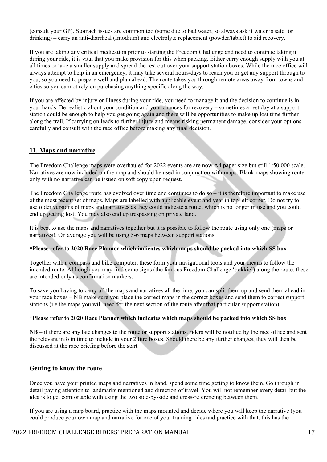(consult your GP). Stomach issues are common too (some due to bad water, so always ask if water is safe for drinking) – carry an anti-diarrheal (Imodium) and electrolyte replacement (powder/tablet) to aid recovery.

If you are taking any critical medication prior to starting the Freedom Challenge and need to continue taking it during your ride, it is vital that you make provision for this when packing. Either carry enough supply with you at all times or take a smaller supply and spread the rest out over your support station boxes. While the race office will always attempt to help in an emergency, it may take several hours/days to reach you or get any support through to you, so you need to prepare well and plan ahead. The route takes you through remote areas away from towns and cities so you cannot rely on purchasing anything specific along the way.

If you are affected by injury or illness during your ride, you need to manage it and the decision to continue is in your hands. Be realistic about your condition and your chances for recovery – sometimes a rest day at a support station could be enough to help you get going again and there will be opportunities to make up lost time further along the trail. If carrying on leads to further injury and means risking permanent damage, consider your options carefully and consult with the race office before making any final decision.

#### **11. Maps and narrative**

The Freedom Challenge maps were overhauled for 2022 events are are now A4 paper size but still 1:50 000 scale. Narratives are now included on the map and should be used in conjunction with maps. Blank maps showing route only with no narrative can be issued on soft copy upon request.

The Freedom Challenge route has evolved over time and continues to do  $so - it$  is therefore important to make use of the most recent set of maps. Maps are labelled with applicable event and year in top left corner. Do not try to use older versions of maps and narratives as they could indicate a route, which is no longer in use and you could end up getting lost. You may also end up trespassing on private land.

It is best to use the maps and narratives together but it is possible to follow the route using only one (maps or narratives). On average you will be using 5-6 maps between support stations.

#### **\*Please refer to 2020 Race Planner which indicates which maps should be packed into which SS box**

Together with a compass and bike computer, these form your navigational tools and your means to follow the intended route. Although you may find some signs (the famous Freedom Challenge 'bokkie') along the route, these are intended only as confirmation markers.

To save you having to carry all the maps and narratives all the time, you can split them up and send them ahead in your race boxes – NB make sure you place the correct maps in the correct boxes and send them to correct support stations (i.e the maps you will need for the next section of the route after that particular support station).

#### **\*Please refer to 2020 Race Planner which indicates which maps should be packed into which SS box**

**NB** – if there are any late changes to the route or support stations, riders will be notified by the race office and sent the relevant info in time to include in your 2 litre boxes. Should there be any further changes, they will then be discussed at the race briefing before the start.

#### **Getting to know the route**

Once you have your printed maps and narratives in hand, spend some time getting to know them. Go through in detail paying attention to landmarks mentioned and direction of travel. You will not remember every detail but the idea is to get comfortable with using the two side-by-side and cross-referencing between them.

If you are using a map board, practice with the maps mounted and decide where you will keep the narrative (you could produce your own map and narrative for one of your training rides and practice with that, this has the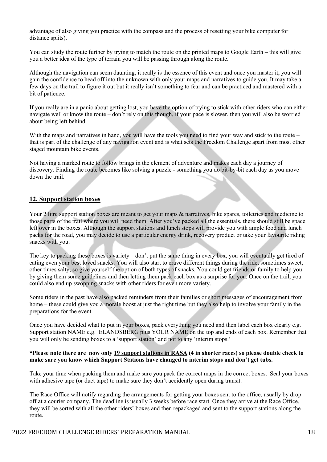advantage of also giving you practice with the compass and the process of resetting your bike computer for distance splits).

You can study the route further by trying to match the route on the printed maps to Google Earth – this will give you a better idea of the type of terrain you will be passing through along the route.

Although the navigation can seem daunting, it really is the essence of this event and once you master it, you will gain the confidence to head off into the unknown with only your maps and narratives to guide you. It may take a few days on the trail to figure it out but it really isn't something to fear and can be practiced and mastered with a bit of patience.

If you really are in a panic about getting lost, you have the option of trying to stick with other riders who can either navigate well or know the route – don't rely on this though, if your pace is slower, then you will also be worried about being left behind.

With the maps and narratives in hand, you will have the tools you need to find your way and stick to the route – that is part of the challenge of any navigation event and is what sets the Freedom Challenge apart from most other staged mountain bike events.

Not having a marked route to follow brings in the element of adventure and makes each day a journey of discovery. Finding the route becomes like solving a puzzle - something you do bit-by-bit each day as you move down the trail.

#### **12. Support station boxes**

Your 2 litre support station boxes are meant to get your maps & narratives, bike spares, toiletries and medicine to those parts of the trail where you will need them. After you've packed all the essentials, there should still be space left over in the boxes. Although the support stations and lunch stops will provide you with ample food and lunch packs for the road, you may decide to use a particular energy drink, recovery product or take your favourite riding snacks with you.

The key to packing these boxes is variety – don't put the same thing in every box, you will eventually get tired of eating even your best loved snacks. You will also start to crave different things during the ride, sometimes sweet, other times salty, so give yourself the option of both types of snacks. You could get friends or family to help you by giving them some guidelines and then letting them pack each box as a surprise for you. Once on the trail, you could also end up swopping snacks with other riders for even more variety.

Some riders in the past have also packed reminders from their families or short messages of encouragement from home – these could give you a morale boost at just the right time but they also help to involve your family in the preparations for the event.

Once you have decided what to put in your boxes, pack everything you need and then label each box clearly e.g. Support station NAME e.g. ELANDSBERG plus YOUR NAME on the top and ends of each box. Remember that you will only be sending boxes to a 'support station' and not to any 'interim stops.'

#### **\*Please note there are now only 19 support stations in RASA (4 in shorter races) so please double check to make sure you know which Support Stations have changed to interim stops and don't get tubs.**

Take your time when packing them and make sure you pack the correct maps in the correct boxes. Seal your boxes with adhesive tape (or duct tape) to make sure they don't accidently open during transit.

The Race Office will notify regarding the arrangements for getting your boxes sent to the office, usually by drop off at a courier company. The deadline is usually 3 weeks before race start. Once they arrive at the Race Office, they will be sorted with all the other riders' boxes and then repackaged and sent to the support stations along the route.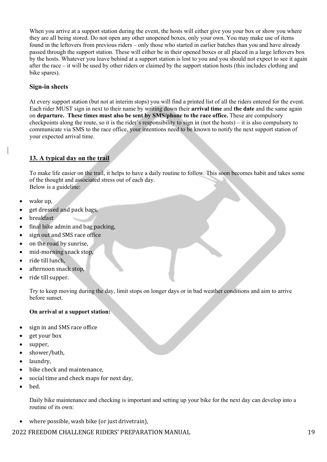When you arrive at a support station during the event, the hosts will either give you your box or show you where they are all being stored. Do not open any other unopened boxes, only your own. You may make use of items found in the leftovers from previous riders – only those who started in earlier batches than you and have already passed through the support station. These will either be in their opened boxes or all placed in a large leftovers box by the hosts. Whatever you leave behind at a support station is lost to you and you should not expect to see it again after the race – it will be used by other riders or claimed by the support station hosts (this includes clothing and bike spares).

#### **Sign-in sheets**

At every support station (but not at interim stops) you will find a printed list of all the riders entered for the event. Each rider MUST sign in next to their name by writing down their **arrival time** and **the date** and the same again on **departure. These times must also be sent by SMS/phone to the race office.** These are compulsory checkpoints along the route, so it is the rider's responsibility to sign in (not the hosts) – it is also compulsory to communicate via SMS to the race office, your intentions need to be known to notify the next support station of your expected arrival time.

# **13. A typical day on the trail**

To make life easier on the trail, it helps to have a daily routine to follow. This soon becomes habit and takes some of the thought and associated stress out of each day. Below is a guideline:

 $\bullet$  wake up,

- get dressed and pack bags,
- **breakfast**
- final bike admin and bag packing,
- sign out and SMS race office
- on the road by sunrise,
- mid-morning snack stop,
- ride till lunch,
- afternoon snack stop,
- ride till supper.

Try to keep moving during the day, limit stops on longer days or in bad weather conditions and aim to arrive before sunset.

#### **On arrival at a support station:**

- sign in and SMS race office
- get your box
- supper,
- shower/bath,
- laundry,
- bike check and maintenance,
- social time and check maps for next day,
- bed.

Daily bike maintenance and checking is important and setting up your bike for the next day can develop into a routine of its own:

where possible, wash bike (or just drivetrain),